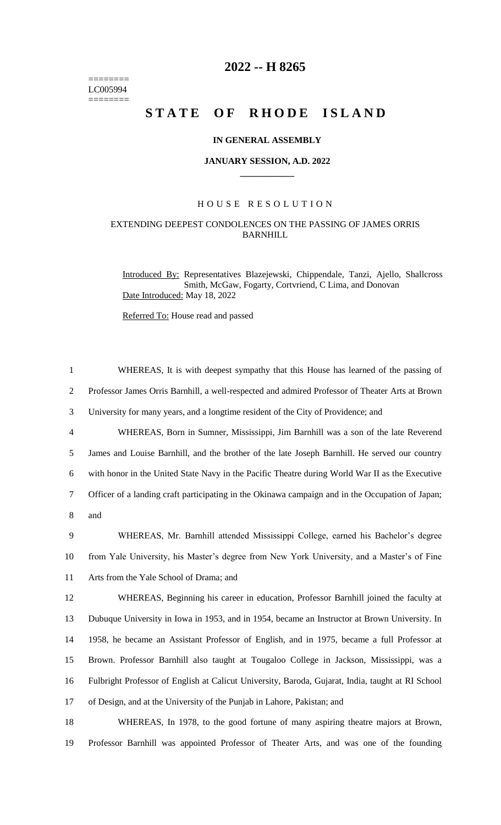======== LC005994  $=$ 

## **2022 -- H 8265**

# **STATE OF RHODE ISLAND**

#### **IN GENERAL ASSEMBLY**

#### **JANUARY SESSION, A.D. 2022 \_\_\_\_\_\_\_\_\_\_\_\_**

#### H O U S E R E S O L U T I O N

### EXTENDING DEEPEST CONDOLENCES ON THE PASSING OF JAMES ORRIS BARNHILL

Introduced By: Representatives Blazejewski, Chippendale, Tanzi, Ajello, Shallcross Smith, McGaw, Fogarty, Cortvriend, C Lima, and Donovan Date Introduced: May 18, 2022

Referred To: House read and passed

| $\mathbf{1}$   | WHEREAS, It is with deepest sympathy that this House has learned of the passing of                |
|----------------|---------------------------------------------------------------------------------------------------|
| $\overline{2}$ | Professor James Orris Barnhill, a well-respected and admired Professor of Theater Arts at Brown   |
| 3              | University for many years, and a longtime resident of the City of Providence; and                 |
| $\overline{4}$ | WHEREAS, Born in Sumner, Mississippi, Jim Barnhill was a son of the late Reverend                 |
| 5              | James and Louise Barnhill, and the brother of the late Joseph Barnhill. He served our country     |
| 6              | with honor in the United State Navy in the Pacific Theatre during World War II as the Executive   |
| $\tau$         | Officer of a landing craft participating in the Okinawa campaign and in the Occupation of Japan;  |
| 8              | and                                                                                               |
| 9              | WHEREAS, Mr. Barnhill attended Mississippi College, earned his Bachelor's degree                  |
| 10             | from Yale University, his Master's degree from New York University, and a Master's of Fine        |
| 11             | Arts from the Yale School of Drama; and                                                           |
| 12             | WHEREAS, Beginning his career in education, Professor Barnhill joined the faculty at              |
| 13             | Dubuque University in Iowa in 1953, and in 1954, became an Instructor at Brown University. In     |
| 14             | 1958, he became an Assistant Professor of English, and in 1975, became a full Professor at        |
| 15             | Brown. Professor Barnhill also taught at Tougaloo College in Jackson, Mississippi, was a          |
| 16             | Fulbright Professor of English at Calicut University, Baroda, Gujarat, India, taught at RI School |
| 17             | of Design, and at the University of the Punjab in Lahore, Pakistan; and                           |
| 18             | WHEREAS, In 1978, to the good fortune of many aspiring theatre majors at Brown,                   |

19 Professor Barnhill was appointed Professor of Theater Arts, and was one of the founding